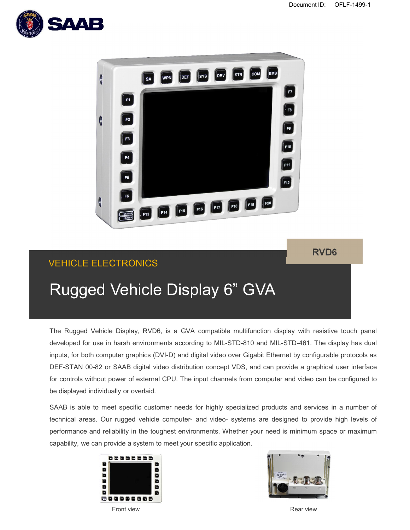



## VEHICLE ELECTRONICS

**RVD6**

# Rugged Vehicle Display 6" GVA

The Rugged Vehicle Display, RVD6, is a GVA compatible multifunction display with resistive touch panel developed for use in harsh environments according to MIL-STD-810 and MIL-STD-461. The display has dual inputs, for both computer graphics (DVI-D) and digital video over Gigabit Ethernet by configurable protocols as DEF-STAN 00-82 or SAAB digital video distribution concept VDS, and can provide a graphical user interface for controls without power of external CPU. The input channels from computer and video can be configured to be displayed individually or overlaid.

SAAB is able to meet specific customer needs for highly specialized products and services in a number of technical areas. Our rugged vehicle computer- and video- systems are designed to provide high levels of performance and reliability in the toughest environments. Whether your need is minimum space or maximum capability, we can provide a system to meet your specific application.





**Front view Contract Contract Contract Contract Contract Contract Contract Contract Contract Contract Contract Contract Contract Contract Contract Contract Contract Contract Contract Contract Contract Contract Contract Con**